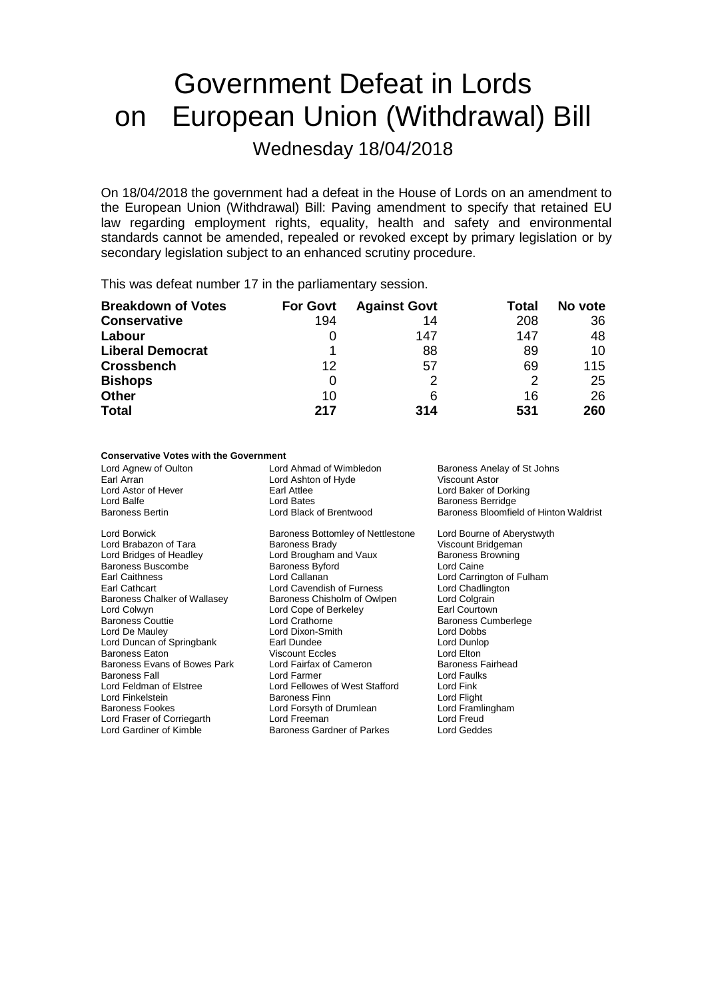# Government Defeat in Lords on European Union (Withdrawal) Bill Wednesday 18/04/2018

On 18/04/2018 the government had a defeat in the House of Lords on an amendment to the European Union (Withdrawal) Bill: Paving amendment to specify that retained EU law regarding employment rights, equality, health and safety and environmental standards cannot be amended, repealed or revoked except by primary legislation or by secondary legislation subject to an enhanced scrutiny procedure.

This was defeat number 17 in the parliamentary session.

| <b>Breakdown of Votes</b> | <b>For Govt</b> | <b>Against Govt</b> | Total | No vote |
|---------------------------|-----------------|---------------------|-------|---------|
| <b>Conservative</b>       | 194             | 14                  | 208   | 36      |
| Labour                    | 0               | 147                 | 147   | 48      |
| <b>Liberal Democrat</b>   |                 | 88                  | 89    | 10      |
| <b>Crossbench</b>         | 12              | 57                  | 69    | 115     |
| <b>Bishops</b>            | 0               |                     | 2     | 25      |
| <b>Other</b>              | 10              | 6                   | 16    | 26      |
| <b>Total</b>              | 217             | 314                 | 531   | 260     |

### **Conservative Votes with the Government**

Lord Agnew of Oulton **Lord Ahmad of Wimbledon** Baroness Anelay of St Johns<br>
Earl Arran **Baroness Anelay of St Johns**<br>
Lord Ashton of Hyde **Brown Constant Astor** Earl Arran **Arran Communist Control Ashton of Hyde Lord Ashton of Hyde Viscount Ashton Ashton Ashton Ashton Ashton Ashton Ashton Ashton Ashton Ashton Ashton Ashton Ashton Ashton Ashton Ashton Ashton Ashton Ashton Ashton As** Lord Astor of Hever **Earl Attlee** Lord Baker of Dorking<br>
Lord Balfe Lord Baker of Dorking<br>
Lord Balfe **Early Backer of Baker of Dorking** Lord Balfe **Communist Communist Communist Communist Communist Communist Communist Communist Communist Communist Communist Communist Communist Communist Communist Communist Communist Communist Communist Communist Communist** Baroness Bloomfield of Hinton Waldrist Lord Borwick **Baroness Bottomley of Nettlestone** Lord Bourne of Aberystwyth<br>
Lord Brabazon of Tara **Baroness Brady** Sarout Bridgeman Lord Brabazon of Tara **Baroness Brady** Baroness Brady Viscount Bridgeman<br>
Lord Bridges of Headley **Victory Lord Brougham and Vaux** Baroness Browning Lord Brougham and Vaux Baroness B<br>Baroness Byford Baroness Baroness Browning Baroness Buscombe<br>
Earl Caithness<br>
Lord Callanan Earl Caithness **Lord Callanan** Lord Callanan Lord Carrington of Fulham<br>
Earl Cathcart **Lord Carrington Lord Carrington** Lord Chadlington Earl Cathcart **Cathcart Cathcart** Lord Cavendish of Furness Chart Lord Chadling<br>Baroness Chalker of Wallasey Baroness Chisholm of Owlpen Lord Colgrain Baroness Chalker of Wallasey Baroness Chisholm of Owlpen Lord Colgrain<br>
Lord Colwyn Courtown Lord Cope of Berkeley Carl Courtown Lord Cope of Berkeley<br>Lord Crathorne Baroness Couttie **Coulom Lord Crathorne** County Baroness Cumberlege<br>
Lord De Mauley **Coulom Lord County County County County County County County County County County County County**<br>
Lord De Mauley **County County County Co** Lord Dixon-Smith Lord Dobbs<br>
Earl Dundee Lord Dunlop Lord Duncan of Springbank Earl Dundee Earl Dundee Lord Dunlop<br>Baroness Eaton Ciscount Eccles Context Lord Elton Viscount Eccles<br>
Lord Fairfax of Cameron<br>
Baroness Fairhead Baroness Evans of Bowes Park Lord Fairfax of Cameron Baroness Fall<br>Baroness Fall Cord Famer Lord Famer Lord Faulks Baroness Fall discussion of Element Lord Farmer Cord Fault Lord Fellowes of West Stafford Lord Fink<br>
Lord Fellowes of West Stafford Lord Fink Lord Fellowes of West Stafford Lord Fink<br>Baroness Finn Lord Flight Lord Finkelstein **Example 2** Exercise Baroness Finn **Example 2 Exercise Cord Fight**<br>Baroness Fookes **Baroness Example 2 Exercise Cord Frame** Exercise 2 Lord Framlingham Lord Forsyth of Drumlean Lord Framlingham Lord Framlingham<br>Lord Freeman Lord Freud Lord Fraser of Corriegarth Lord Freeman Lord Freud Cord Freud Lord Gardiner of Parkes Lord Geddes Baroness Gardner of Parkes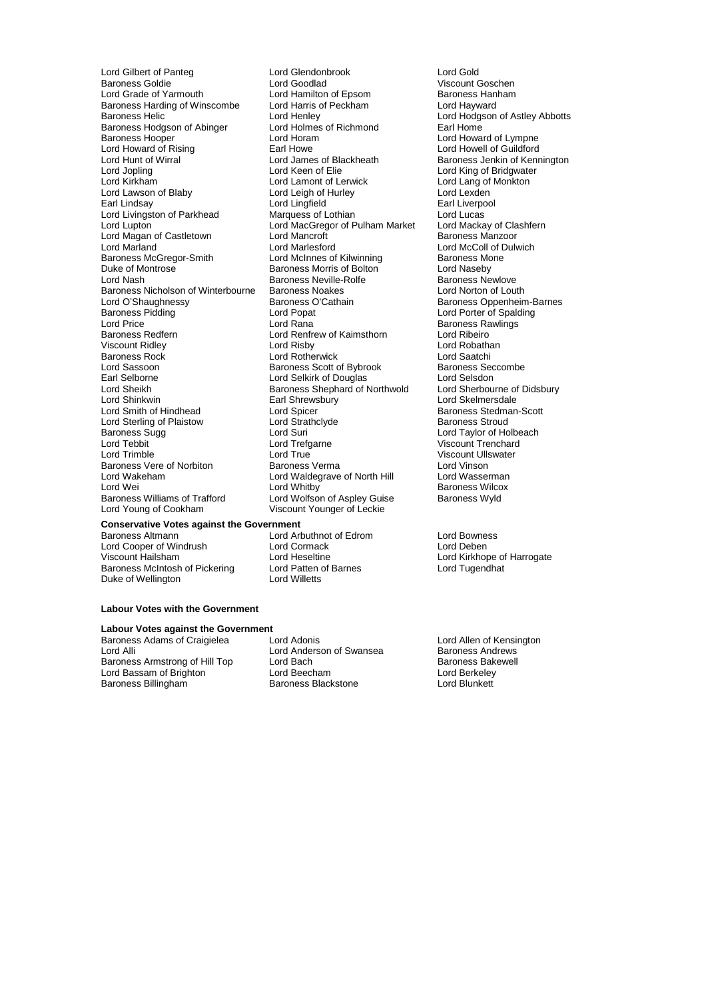Baroness Harding of Winscombe Lord Harris of Percent Peckham Lord Harris of Peckham Lord Henley Baroness Hodgson of Abinger Lord Holmes<br>Baroness Hooper barond Earl Horam Lord Howard of Rising Earl Howe<br>
Lord Hunt of Wirral **Earl Howell Cord James of Blackheath** Lord Lawson of Blaby Lord Leigh of Hurley Lord Leigh of Hurley Lord Leigh of Hurley Lord Lingfield Lord Magan of Castletown Lord Mancroft<br>
Lord Marland Castletown Lord Marlesford Baroness Nicholson of Winterbourne Baroness Noakes<br>Lord O'Shaughnessy Baroness O'Cathain Lord Shinkwin **Earl Shrewsbury**<br> **Lord Smith of Hindhead Earl Shrewsbury** Lord Sterling of Plaistow Lord Strathclare Baroness Sugg baroness Sugg Lord Strathclare Lord Wakeham Lord Waldegrave of North Hill<br>
Lord Wei Baroness Williams of Trafford Lord Wolfson of Aspley Guise<br>
Lord Young of Cookham Viscount Younger of Leckie

Lord Gilbert of Panteg Lord Glendonbrook Lord Gold Baroness Goldie <sup>T</sup> Exercise Lord Goodlad Viscount Goschen<br>
Lord Grade of Yarmouth Lord Hamilton of Epsom The Baroness Hanham Lord Hamilton of Epsom Baroness Hanham Baroness Hanham Baroness Hanham Baroness Hanham Baroness Hanham Baroness H Lord Henley<br>
Lord Holmes of Richmond<br>
Earl Home<br>
Earl Home Lord Horam Lord Howard of Lympne<br>
Earl Howe Lord Howell of Guildford Lord Hunt of Wirral **Lord Lord James of Blackheath** Baroness Jenkin of Kennington<br>
Lord Jopling **Baroness** Lord Keen of Elie<br>
Lord Jopling and Rennington Lord King of Bridgwater Lord Jopling The Lord Keen of Elie Lord Keen Cord King of Bridgwater<br>
Lord Kirkham Lord Lamont of Lerwick Lord Lord Lang of Monkton Lord Lamont of Lerwick Lord Lang of Monkton<br>
Lord Leigh of Hurley Lord Lexden Lord Lingfield **Earl Liverpool**<br>
Marquess of Lothian **Earl** Lord Lucas Lord Livingston of Parkhead Marquess of Lothian Lord Lucas<br>
Lord Lupton Lord MacGregor of Pulham Market Lord Mackay of Clashfern Lord MacGregor of Pulham Market Lord Mackay of Cla<br>Lord Mancroft **Clashfer** Baroness Manzoor Lord Marlesford<br>
Lord McInnes of Kilwinning<br>
Baroness Mone Baroness McGregor-Smith Lord McInnes of Kilwinning Baroness McGregor-Smith Lord McInnes of Kilwinning Baroness Moness Moness Moness Moness Moness Moness Moness Moness Moness Moness Moness Moness Moness Moness Moness Moness Duke of Montrose **Baroness Morris of Bolton** Lord Naseby<br>
Lord Nash Corress Neville-Rolfe **Baroness Newlove**<br>
Baroness Newlove Baroness Neville-Rolfe Baroness Newlove<br>
Baroness Noakes<br>
Lord Norton of Louth Lord O'Shaughnessy **Baroness O'Cathain** Baroness Oppenheim-Barnes<br>
Baroness Pidding **Baroness Container Baroness Oppenheim-Barnes**<br>
Lord Porter of Spalding Baroness Pidding Lord Popat Lord Porter of Spalding Lord Price **Lord Rana Baroness Rawlings**<br>
Baroness Redfern **Baroness Rawlings**<br>
Lord Rentrew of Kaimsthorn Baroness Redfern Lord Renfrew of Kaimsthorn Lord Ribeiro<br>
Lord Risby Lord Robathan Viscount Ridley **Communist Communist Communist Communist Communist Communist Communist Communist Communist Communist Communist Communist Communist Communist Communist Communist Communist Communist Communist Communist Commu** Baroness Rock Lord Rotherwick Lord Saatchi Lord Sassoon **Baroness Scott of Bybrook** Baroness Seccombe<br>Earl Selborne **Baroness Secure Section** Lord Selkirk of Douglas **Baroness Seccombe Section** Earl Selborne **Lord Selkirk of Douglas** Lord Selsdon<br>
Lord Sheikh **Corporation State Corporation**<br>
Lord Sheikh **Corporation State Corporation** Shephard of Northwold Lord Sherbourne of Didsbury Lord Sheikh Baroness Shephard of Northwold Lord Sherbourne of Lord Sherbourne of Lord Sherbourne of Didsbury Lord Skelmersdale Lord Spicer (Entertainment Controller Baroness Stedman-Scott Lord Strathclube Baroness Stroud Baroness Sugg Lord Suri Lord Taylor of Holbeach Lord Tebbit Lord Tefgarne Communication Correspondence and Trenchard Lord Trimble Correspondence Lord Trimble<br>
Lord Trimble Correspondence Lord True Correspondence Correspondence Viscount Ullswater Lord True **Viscount Ullswater**<br>
Baroness Verma<br>
Lord Vinson Baroness Vere of Norbiton **Baroness Verma** Baroness Verma Lord Vinson<br>
Lord Waldegrave of North Hill **Baroness Lord Vinson**<br>
Lord Waldegrave of North Hill **Baroness Lord Wasserman** Lord Wei Cord Whitby Lord Whitby Chroness Wilcox<br>
Baroness Williams of Trafford Cord Wolfson of Aspley Guise Baroness Wyld Viscount Younger of Leckie

### **Conservative Votes against the Government**

Baroness Altmann Lord Arbuthnot of Edrom Lord Bowness Lord Cooper of Windrush **Lord Cormack**<br>
Viscount Hailsham **Lord Heseltine** Baroness McIntosh of Pickering Lord Patten of Duke of Wellington Duke of Wellington

#### **Labour Votes with the Government**

## **Labour Votes against the Government**<br>Baroness Adams of Craigielea **Lord Adonis**

Baroness Adams of Craigielea Lord Adonis<br>
Lord Anderson of Swansea Baroness Andrews<br>
Lord Andrews<br>
Lord Anderson of Swansea Baroness Andrews Lord Alli Lord Anderson of Swansea Baroness Andrews<br>
Baroness Armstrong of Hill Top Lord Bach Cord Baroness Bakewell Baroness Armstrong of Hill Top Lord Bach Bach Baroness Bakewell Baroness Bakewell Baroness Bakewell Baroness Bak<br>Lord Bassam of Brighton Baroness Lord Beecham Lord Bassam of Brighton Lord Beecham Lord Berkeley

Baroness Blackstone

Lord Heseltine The Lord Kirkhope of Harrogate<br>
Lord Atten of Barnes<br>
Lord Tugendhat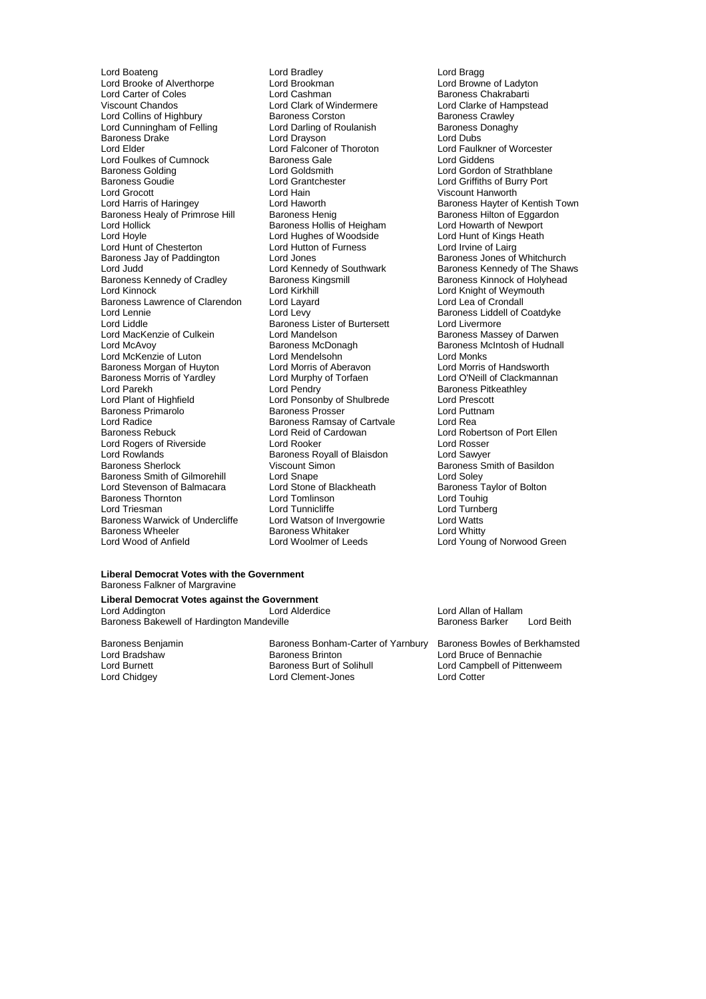Lord Boateng **Lord Bradley** Lord Bradley **Lord Bragg**<br>
Lord Brooke of Alverthorpe **Lord Brookman** Lord Brookman Lord Browne of Ladyton Lord Brooke of Alverthorpe Lord Brookman<br>
Lord Carter of Coles **Lord Cashman** Lord Carter of Coles Lord Cashman Corporation Baroness Chakrabarti<br>
Viscount Chandos Lord Clark of Windermere Lord Clarke of Hampst Lord Collins of Highbury **Baroness Corston** Baroness Crawley<br>
Lord Cunningham of Felling **Baroness Lord Darling of Roulanish** Baroness Donaghy Lord Cunningham of Felling Lord Darling of Roulanish Baroness I<br>Baroness Drake Lord Dubs Lord Dravson Lord Dubs Baroness Drake **Lord Drayson**<br>
Lord Elder **Lord Falconer** of Thoroton Lord Foulkes of Cumnock<br>
Baroness Golding<br>
Lord Goldsmith Baroness Golding Lord Goldsmith Lord Gordon of Strathblane Baroness Goudie **Constanting Constant Constant Constant** Lord Grantchester **Lord Griffiths of Burry Port**<br>
Lord Grocott Lord Hain Constanting Constanting Constant Constant Constant Constant Constant Constant Constant C Lord Grocott Lord Hain Viscount Hanworth Baroness Healy of Primrose Hill Baroness Henig Baroness Healy of Eggard<br>Lord Hollick Baroness Hollis of Heigham Lord Howarth of Newport Lord Hollick **Baroness Hollis of Heigham** Lord Howarth of Newport<br>
Lord Howarth of Newport<br>
Lord Howarth of Kings Heath<br>
Lord Howarth of Kings Heath Lord Hoyle<br>
Lord Hunt of Chesterton<br>
Lord Hutton of Furness Baroness Jay of Paddington Lord Jones<br>
Lord Judd<br>
Lord Kennedy of Southwark Lord Judd<br>
Lord Kennedy of Cradley Construction Baroness Kennedy of The Shaws<br>
Baroness Kennedy of Cradley Baroness Kingsmill<br>
Baroness Kinnock of Holyhead Baroness Kennedy of Cradley Baroness Kingsmill Baroness Kinnock of Holyhead<br>
Lord Kinnock of Weymouth<br>
Lord Kninnock of Weymouth Baroness Lawrence of Clarendon Lord Layard<br>
Lord Lennie Coronally Lord Lennie **Lord Levy** Lord Levy Baroness Liddell of Coatdyke<br>
Lord Liddle **Coatalyke** Baroness Lister of Burtersett Lord Livermore Lord Liddle **Baroness Lister of Burtersett**<br>
Lord MacKenzie of Culkein<br>
Lord Mandelson Lord MacKenzie of Culkein **Lord Mandelson** Baroness Massey of Darwen<br>
Lord McAvoy **Baroness McDonagh** Baroness McDonagh Baroness McIntosh of Hudnal Lord McKenzie of Luton **Lord Mendelsohn**<br> **Baroness Morgan of Huyton** Lord Morris of Aberavon Lord Morris of Handsworth Baroness Morgan of Huyton Lord Morris of Aberavon Lord Morris of Handsworth<br>
Baroness Morris of Yardley Lord Murphy of Torfaen Lord O'Neill of Clackmannan Baroness Morris of Yardley **Lord Murphy**<br>
Lord Parekh<br>
Lord Pendry Lord Parekh Lord Pendry Cord Pendry Baroness Pitkeathley<br>
Lord Plant of Highfield Lord Ponsonby of Shulbrede Lord Prescott Baroness Primarolo **Baroness Prosser** Lord Putto<br>
Lord Radice **Baroness Ramsay of Cartyale** Lord Rea Lord Radice **Baroness Ramsay of Cartvale**<br>Baroness Rebuck **Baroness Reading Lord Reid of Cardowan** Lord Rogers of Riverside **Lord Rooker** Lord Rosser<br>
Lord Rowlands **Conserver Baroness Royall of Blaisdon** Lord Sawyer Lord Rowlands<br>
Baroness Sherlock<br>
Viscount Simon<br>
Viscount Simon Baroness Smith of Gilmorehill Lord Snape Lord Soley<br>
Lord Stevenson of Balmacara Lord Stone of Blackheath Baroness Taylor of Bolton Lord Stevenson of Balmacara Lord Stone of Blackheath Baroness Taylor Baroness Taylor Cord Touhig<br>
Lord Touhig Lord Touhig Baroness Thornton Lord Tomlinson Lord Touhig Baroness Warwick of Undercliffe Lord Watson of Invergowrie **Lord Watts**<br>
Baroness Wheeler **Baroness Whitaker** Lord Whitty Baroness Wheeler Baroness Whitaker<br>
Lord Wood of Anfield
Lord Woolmer of Leeds

Lord Clark of Windermere<br>
Baroness Corston<br>
Baroness Crawley Lord Falconer of Thoroton Lord Faulkner of Worcester<br>
Baroness Gale<br>
Lord Giddens Lord Ponsonby of Shulbrede Lord Prescott<br>
Baroness Prosser Lord Puttnam Lord Reid of Cardowan Lord Robertson of Port Ellen<br>
Lord Rooker Lord Rosser Viscount Simon<br>
Lord Snape<br>
Lord Soley<br>
Lord Soley Lord Tunnicliffe **Lord Turnb**<br>
Lord Watson of Invergowrie **Lord Watts** 

Lord Haworth **Exercise State Haringer Corporation**<br>Baroness Henig **Corporation**<br>Baroness Hilton of Eggardon Lord Hutton of Furness<br>
Lord Irvine of Lairg<br>
Lord Jones Baroness Jones of Whitchurch Lord Knight of Weymouth<br>Lord Lea of Crondall Baroness McDonagh Baroness McIntosh of Hudnall<br>
Lord Mendelsohn Baroness McIntosh of Hudnall Lord Young of Norwood Green

#### **Liberal Democrat Votes with the Government** Baroness Falkner of Margravine

**Liberal Democrat Votes against the Government** Lord Addington **Lord Allam Communist Communist Communist Communist Communist Communist Communist Communist Communist Communist Communist Communist Communist Communist Communist Communist Communist Communist Communist Commu** Baroness Bakewell of Hardington Mandeville **Baroness Barker Lord Beith** Baroness Barker Lord Beith

Baroness Benjamin Baroness Bonham-Carter of Yarnbury Baroness Bowles of Berkhamsted<br>Lord Bradshaw Baroness Brinton Lord Bruce of Bennachie Lord Bradshaw **Baroness Brinton** Lord Bruce of Bennachie<br>
Lord Burnett **Baroness Burt of Solihull** Lord Campbell of Pittenw Lord Burnett **Baroness Burt of Solihull** Lord Campbell of Pittenweem<br>
Lord Chidgey **Campbell of Pittenweem**<br>
Lord Chidgey **Campbell of Pittenweem** Lord Clement-Jones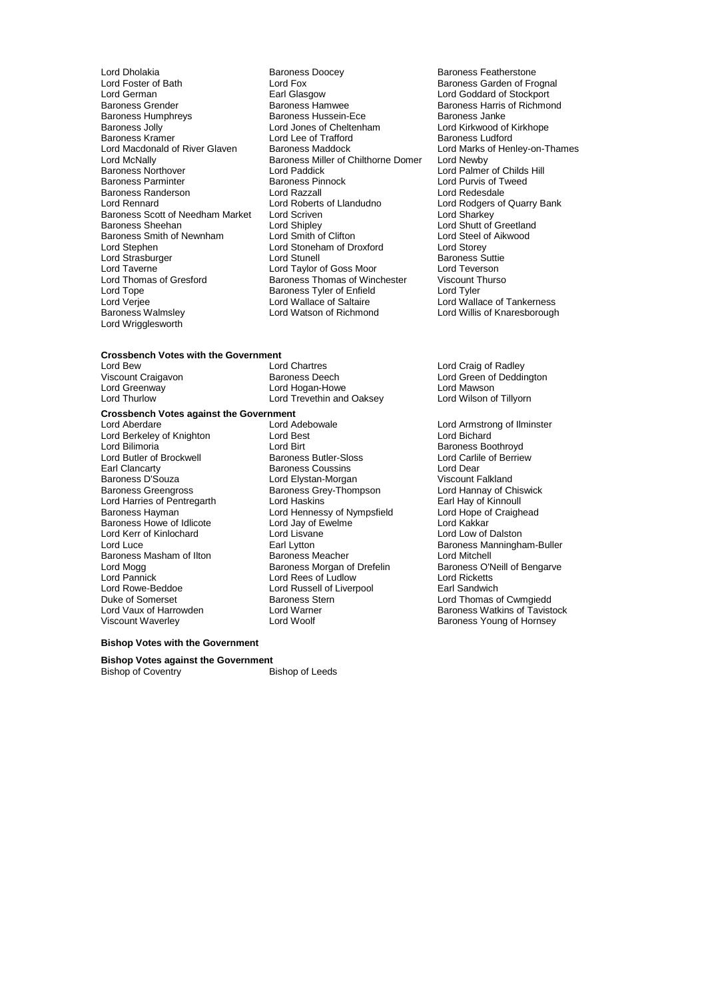Baroness Kramer Lord Lee of Trafford<br>
Lord Macdonald of River Glaven Baroness Maddock Baroness Randerson **Lord Razzall**<br>
Lord Rennard **Lord Roberts** of Llandudno Baroness Scott of Needham Market Lord Scriven<br>Baroness Sheehan Lord Shipley Lord Wrigglesworth

Lord Dholakia **Baroness Doocey** Baroness Doocey<br>
Lord Fox **Baroness Carden of Fre**<br>
Baroness Garden of Fre Lord Foster of Bath **Lord Fox** Lord Fox **Baroness Garden of Frognal**<br>
Earl Glasgow<br>
Lord Goddard of Stockport Lord German Earl Glasgow Lord Goddard of Stockport Baroness Grender Farris Charoness Hamwee Baroness Harris of Richmond<br>Baroness Humphreys Farris of Richmond Baroness Hassein-Ece Farris Baroness Janke Baroness Humphreys **Baroness Hussein-Ece** Baroness Janke<br>Baroness Jolly Baroness Hussein-Barones of Cheltenham **Baroness Janke** Baroness Jolly **Exercise Section** Lord Jones of Cheltenham **Lord Kirkwood of I**<br>Baroness Kramer **Lord Lee of Trafford** Baroness Ludford Lord Macdonald of River Glaven Baroness Maddock Lord Marks of Henley-on-Thames<br>Lord McNally Baroness Miller of Chilthorne Domer Lord Newby Lord McNally **Baroness Miller of Chilthorne Domer**<br>
Baroness Northover **Marson Lord Paddick** Baroness Northover **Lord Paddick** Lord Paddick Lord Palmer of Childs Hill<br>
Baroness Parminter **Baroness Palmer Communist Communist Communist Communist Communist Communist Communist Commun** Baroness Pinnock<br>
Lord Razzall<br>
Lord Redesdale Lord Roberts of Llandudno<br>
Lord Scriven<br>
Lord Sharkey Baroness Sheehan Lord Shipley Lord Shutt of Greetland Baroness Smith of Newnham Lord Smith of Clifton Lord Steel c<br>
Lord Stephen Lord Storey<br>
Lord Storey<br>
Lord Storey Lord Stoneham of Droxford Lord Storey<br>Lord Stunell Lord Stunell Lord Strasburger The Lord Stunell Lord Stunell Baroness Suttiened Baroness Suttiened Baroness Suttiened Baroness Suttiened Baroness Suttiened Baroness Suttiened Baroness Suttiened Baroness Suttiened Baroness Suttiened Baro Lord Taverne Taylor of Goss Moor Lord Teverson<br>
Lord Thomas of Gresford Baroness Thomas of Winchester Viscount Thurso Lord Thomas of Gresford Baroness Thomas of Winchester Viscount T<br>Lord Tope Caroness Tyler of Enfield Lord Tyler Baroness Tyler of Enfield<br>Lord Wallace of Saltaire Lord Verjee Lord Wallace of Saltaire Lord Wallace of Tankerness<br>
Baroness Walmsley **Lord Watson of Richmond** Lord Willis of Knaresborough

## **Crossbench Votes with the Government**

## **Crossbench Votes against the Government**

Lord Berkeley of Knighton Lord Best Lord Birt<br>
Lord Bilimoria Cord Birt Lord Kerr of Kinlochard Lord Lisvan<br>Lord Luce Carl Lytton Lord Rowe-Beddoe Lord Russell of Liverpool<br>
Duke of Somerset Comes Baroness Stern

Lord Bew Lord Chartres Lord Chartres Lord Chartes Lord Craig of Radley<br>
Viscount Craigavon Chartes Baroness Deech Lord Green of Deddir Lord Greenway **Lord Hogan-Howe** Lord Greenway Lord Mawson<br>
Lord Thurlow **Lord Lord Lord Trevethin and Oaksey** Lord Wilson of Tillyorn Lord Trevethin and Oaksey

## Lord Adebowale **Lord Armstrong of Ilminster**<br>
Lord Best Lord Armstrong Of Ilminster Lord Birt<br>
Baroness Butler-Sloss
Sunity Cord Carlile of Berriew Lord Butler of Brockwell **Baroness Butler-Sloss** Lord Carlil<br>
Baroness Coussins Lord Dear<br>
Lord Dear Earl Clancarty Baroness Coussins Lord Dear<br>
Baroness D'Souza Lord Elystan-Morgan Viscount Falkland Baroness D'Souza Lord Elystan-Morgan Viscount Falkland<br>Baroness Greengross Baroness Grey-Thompson Lord Hannay of Chiswick Baroness Grey-Thompson Lord Hannay of Chis<br>Lord Haskins Chiswick Barl Hay of Kinnoull Lord Harries of Pentregarth Lord Haskins **Earl Hay of Kinnoull**<br>
Baroness Hayman **Lord Hennessy of Nympsfield** Lord Hope of Craighead Lord Hennessy of Nympsfield Lord Hope o<br>
Lord Jay of Ewelme Craight Lord Kakkar Baroness Howe of Idlicote Lord Jay of Ewelme Lord Cord Kakkar<br>
Lord Kerr of Kinlochard Lord Lisvane Lord Lisvane Lord Lord Lord Low of Dalston Baroness Masham of Ilton Baroness Meacher<br>
Baroness Morgan of Drefelin<br>
Baroness Morgan of Drefelin Lord Pannick Lord Rees of Ludlow Lord Ricketts Duke of Somerset **Baroness Stern Charlotter Communist Communist Communist Communist Communist Communist Communist Communist Communist Communist Communist Communist Communist Communist Communist Communist Communist Communis**

Viscount Craigavon Baroness Deech Lord Green of Deddington<br>
Lord Greenway Lord Mogan-Howe Lord Mawson

Lord Willis of Knaresborough

Earl Lytton **Earl Lytton Earl Lytton Baroness Manningham-Buller**<br>
Lord Mitchell Lord Mogg **Baroness Morgan of Drefelin** Baroness O'Neill of Bengarve<br>
Lord Pannick **Baroness Containers Community**<br>
Lord Ricketts Lord Vaux of Harrowden Lord Warner Communisties are being a Baroness Watkins of Tavistock<br>
Viscount Waverley Communisties Lord Woolf Communisties Baroness Young of Hornsey Baroness Young of Hornsey

## **Bishop Votes with the Government**

**Bishop Votes against the Government** Bishop of Coventry Bishop of Leeds